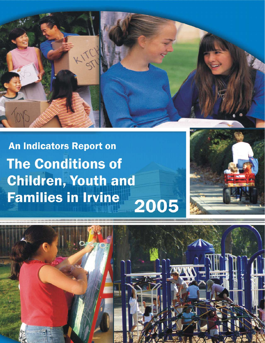

**An Indicators Report on The Conditions of Children, Youth and Families in Irvine** 2005



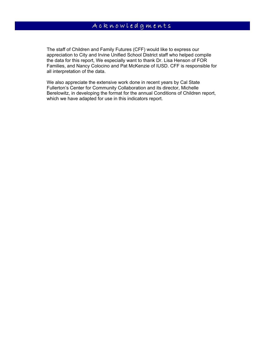The staff of Children and Family Futures (CFF) would like to express our appreciation to City and Irvine Unified School District staff who helped compile the data for this report, We especially want to thank Dr. Lisa Henson of FOR Families, and Nancy Colocino and Pat McKenzie of IUSD. CFF is responsible for all interpretation of the data.

We also appreciate the extensive work done in recent years by Cal State Fullerton's Center for Community Collaboration and its director, Michelle Berelowitz, in developing the format for the annual Conditions of Children report, which we have adapted for use in this indicators report.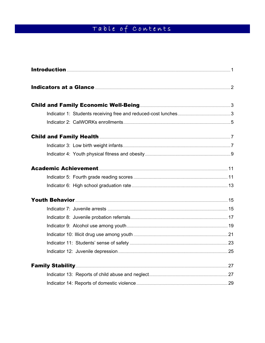# Table of Contents

| Indicators at a Glance <b>Entitled and State of the Contract of Automaking Contract and State and Automaking Contract and Automaking Contract and Automaking Contract and Automaking Contract and Automaking Contract and Automa</b> |  |
|--------------------------------------------------------------------------------------------------------------------------------------------------------------------------------------------------------------------------------------|--|
|                                                                                                                                                                                                                                      |  |
|                                                                                                                                                                                                                                      |  |
|                                                                                                                                                                                                                                      |  |
|                                                                                                                                                                                                                                      |  |
|                                                                                                                                                                                                                                      |  |
|                                                                                                                                                                                                                                      |  |
|                                                                                                                                                                                                                                      |  |
|                                                                                                                                                                                                                                      |  |
|                                                                                                                                                                                                                                      |  |
|                                                                                                                                                                                                                                      |  |
|                                                                                                                                                                                                                                      |  |
|                                                                                                                                                                                                                                      |  |
|                                                                                                                                                                                                                                      |  |
|                                                                                                                                                                                                                                      |  |
|                                                                                                                                                                                                                                      |  |
|                                                                                                                                                                                                                                      |  |
| <b>Family Stability</b> 27                                                                                                                                                                                                           |  |
|                                                                                                                                                                                                                                      |  |
|                                                                                                                                                                                                                                      |  |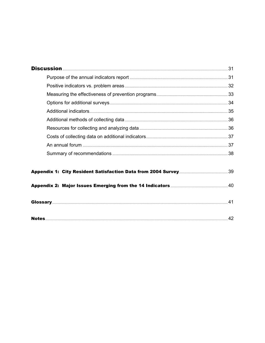| 41 |
|----|
|    |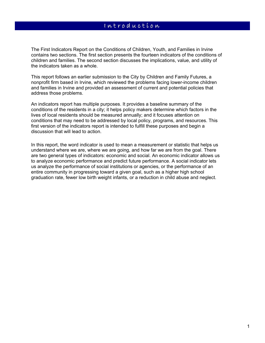The First Indicators Report on the Conditions of Children, Youth, and Families in Irvine contains two sections. The first section presents the fourteen indicators of the conditions of children and families. The second section discusses the implications, value, and utility of the indicators taken as a whole.

This report follows an earlier submission to the City by Children and Family Futures, a nonprofit firm based in Irvine, which reviewed the problems facing lower-income children and families in Irvine and provided an assessment of current and potential policies that address those problems.

An indicators report has multiple purposes. It provides a baseline summary of the conditions of the residents in a city; it helps policy makers determine which factors in the lives of local residents should be measured annually; and it focuses attention on conditions that may need to be addressed by local policy, programs, and resources. This first version of the indicators report is intended to fulfill these purposes and begin a discussion that will lead to action.

In this report, the word indicator is used to mean a measurement or statistic that helps us understand where we are, where we are going, and how far we are from the goal. There are two general types of indicators: economic and social. An economic indicator allows us to analyze economic performance and predict future performance. A social indicator lets us analyze the performance of social institutions or agencies, or the performance of an entire community in progressing toward a given goal, such as a higher high school graduation rate, fewer low birth weight infants, or a reduction in child abuse and neglect.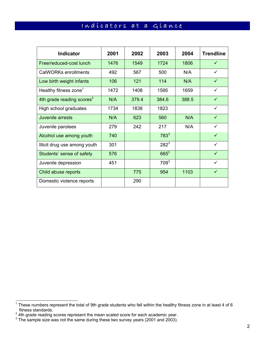# Indícators at a Glance

| <b>Indicator</b>                      | 2001 | 2002  | 2003      | 2004  | <b>Trendline</b> |
|---------------------------------------|------|-------|-----------|-------|------------------|
| Free/reduced-cost lunch               | 1476 | 1549  | 1724      | 1806  | $\checkmark$     |
| CalWORKs enrollments                  | 492  | 567   | 500       | N/A   | ✓                |
| Low birth weight infants              | 106  | 121   | 114       | N/A   | $\checkmark$     |
| Healthy fitness zone <sup>1</sup>     | 1472 | 1408  | 1595      | 1659  | ✓                |
| 4th grade reading scores <sup>2</sup> | N/A  | 379.4 | 384.6     | 388.5 | $\checkmark$     |
| High school graduates                 | 1734 | 1838  | 1823      |       | ✓                |
| Juvenile arrests                      | N/A  | 623   | 560       | N/A   | $\checkmark$     |
| Juvenile parolees                     | 279  | 242   | 217       | N/A   | $\checkmark$     |
| Alcohol use among youth               | 740  |       | $783^3$   |       | ✓                |
| Illicit drug use among youth          | 301  |       | $282^{3}$ |       | $\checkmark$     |
| Students' sense of safety             | 576  |       | $665^3$   |       | $\checkmark$     |
| Juvenile depression                   | 451  |       | $709^3$   |       | $\checkmark$     |
| Child abuse reports                   |      | 775   | 954       | 1103  | $\checkmark$     |
| Domestic violence reports             |      | 290   |           |       |                  |

<sup>————————————————————&</sup>lt;br><sup>1</sup> These numbers represent the total of 9th grade students who fell within the healthy fitness zone in at least 4 of 6

fitness standards.<br><sup>2</sup> 4th grade reading scores represent the mean scaled score for each academic year.<br><sup>3</sup> The sample size was not the same during these two survey years (2001 and 2003).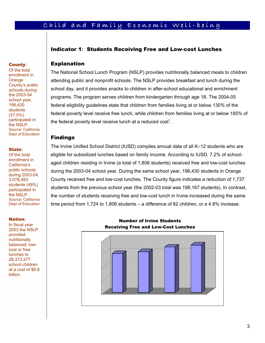# Child and Family Economic Well-being

### Indicator 1**:** Students Receiving Free and Low-cost Lunches

### Explanation

The National School Lunch Program (NSLP) provides nutritionally balanced meals to children attending public and nonprofit schools. The NSLP provides breakfast and lunch during the school day, and it provides snacks to children in after-school educational and enrichment programs. The program serves children from kindergarten through age 18. The 2004-05 federal eligibility guidelines state that children from families living at or below 130% of the federal poverty level receive free lunch, while children from families living at or below 185% of the federal poverty level receive lunch at a reduced  $\mathrm{cost}^1$ .

#### Findings

The Irvine Unified School District (IUSD) compiles annual data of all K–12 students who are eligible for subsidized lunches based on family income. According to IUSD, 7.2% of schoolaged children residing in Irvine (a total of 1,806 students) received free and low-cost lunches during the 2003-04 school year. During the same school year, 196,430 students in Orange County received free and low-cost lunches. The County figure indicates a reduction of 1,737 students from the previous school year (the 2002-03 total was 198,167 students). In contrast, the number of students receiving free and low-cost lunch in Irvine increased during the same time period from 1,724 to 1,806 students – a difference of 82 children, or a 4.8% increase.

#### Nation**:**

State**:** Of the total enrollment in California's public schools during 2003-04, 3,078,483 students (49%) participated in the NSLP. Source: California Dept of Education

Of the total enrollment in **Orange** 

**County:** 

County's public schools during the 2003-04 school year, 196,430 students (37.5%) participated in the NSLP. Source: California Dept of Education

**County:**<br>Of the tota<br>enrollment<br>Orange<br>County's p<br>schools du<br>the 2003-Color year school year<br>196,430<br>students<br>(37.5%) participate<br>the NSLP.<br>Source: Ca<br>Dept of Edu<br>State:<br>Of the tota<br>enrollment<br>California':<br>public schildur In fiscal year 2003 the NSLP provided nutritionally balanced, lowcost or free lunches to 28,373,377 school children at a cost of \$8.8 billion.



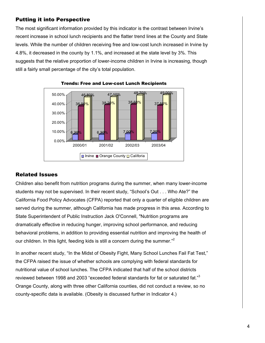The most significant information provided by this indicator is the contrast between Irvine's recent increase in school lunch recipients and the flatter trend lines at the County and State levels. While the number of children receiving free and low-cost lunch increased in Irvine by 4.8%, it decreased in the county by 1.1%, and increased at the state level by 3%. This suggests that the relative proportion of lower-income children in Irvine is increasing, though still a fairly small percentage of the city's total population.





### Related Issues

Children also benefit from nutrition programs during the summer, when many lower-income students may not be supervised. In their recent study, "School's Out . . . Who Ate?" the California Food Policy Advocates (CFPA) reported that only a quarter of eligible children are served during the summer, although California has made progress in this area. According to State Superintendent of Public Instruction Jack O'Connell, "Nutrition programs are dramatically effective in reducing hunger, improving school performance, and reducing behavioral problems, in addition to providing essential nutrition and improving the health of our children. In this light, feeding kids is still a concern during the summer."<sup>2</sup>

In another recent study, "In the Midst of Obesity Fight, Many School Lunches Fail Fat Test," the CFPA raised the issue of whether schools are complying with federal standards for nutritional value of school lunches. The CFPA indicated that half of the school districts reviewed between 1998 and 2003 "exceeded federal standards for fat or saturated fat."<sup>3</sup> Orange County, along with three other California counties, did not conduct a review, so no county-specific data is available. (Obesity is discussed further in Indicator 4.)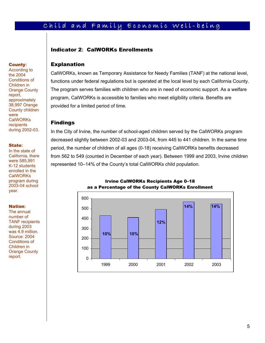# Child and Family Economic Well-being

### Indicator 2**:** CalWORKs Enrollments

#### Explanation

CalWORKs, known as Temporary Assistance for Needy Families (TANF) at the national level, functions under federal regulations but is operated at the local level by each California County. The program serves families with children who are in need of economic support. As a welfare program, CalWORKs is accessible to families who meet eligibility criteria. Benefits are provided for a limited period of time.

### Findings

In the City of Irvine, the number of school-aged children served by the CalWORKs program decreased slightly between 2002-03 and 2003-04, from 445 to 441 children. In the same time period, the number of children of all ages (0-18) receiving CalWORKs benefits decreased from 562 to 549 (counted in December of each year). Between 1999 and 2003, Irvine children represented 10–14% of the County's total CalWORKs child population.



Irvine CalWORKs Recipients Age 0–18 as a Percentage of the County CalWORKs Enrollment

#### **County:**

**County:**<br>According<br>the 2004<br>Conditions in Orange Conditions<br>Children ir<br>Orange County chapproxima<br>38,997 Or.<br>County charge County charge CallVORK<br>**State:**<br>In the state:<br>CallVORK<br>program d<br>CalWORK<br>program d<br>2003-04 svear.<br> According to the 2004 Conditions of Children in Orange County report, approximately 38,997 Orange County children were **CalWORKs** recipients during 2002-03.

#### State**:**

In the state of California, there were 585,991 K-12 students enrolled in the **CalWORKs** program during 2003-04 school year.

#### Nation**:**

The annual number of TANF recipients during 2003 was 4.9 million. Source: 2004 Conditions of Children in Orange County report.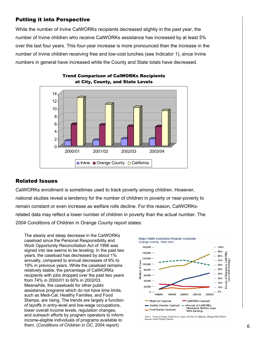While the number of Irvine CalWORKs recipients decreased slightly in the past year, the number of Irvine children who receive CalWORKs assistance has increased by at least 5% over the last four years. This four-year increase is more pronounced than the increase in the number of Irvine children receiving free and low-cost lunches (see Indicator 1), since Irvine numbers in general have increased while the County and State totals have decreased.





### Related Issues

CalWORKs enrollment is sometimes used to track poverty among children. However, national studies reveal a tendency for the number of children in poverty or near-poverty to remain constant or even increase as welfare rolls decline. For this reason, CalWORKsrelated data may reflect a lower number of children in poverty than the actual number. The 2004 Conditions of Children in Orange County report states:

6 them. (*Conditions of Children in OC*, 2004 report) The steady and steep decrease in the CalWORKs caseload since the Personal Responsibility and Work Opportunity Reconciliation Act of 1996 was signed into law seems to be leveling. In the past two years, the caseload has decreased by about 1% annually, compared to annual decreases of 9% to 19% in previous years. While the caseload remains relatively stable, the percentage of CalWORKs recipients with jobs dropped over the past two years from 74% in 2000/01 to 60% in 2002/03. Meanwhile, the caseloads for other public assistance programs which do not have time limits, such as Medi-Cal, Healthy Families, and Food Stamps, are rising. The trends are largely a function of layoffs in entry-level and low-wage occupations, lower overall income levels, regulation changes, and outreach efforts by program operators to inform income-eligible individuals of programs available to



Sources: Councy of Orange Social Services Agency and Some of California, Managed Risk Medical<br>Insurance Board, Healdry Families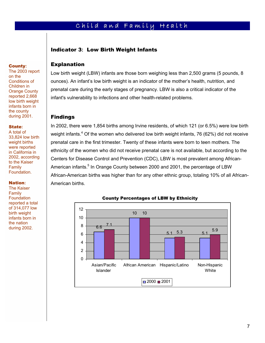# Child and Family Health

### Indicator 3**:** Low Birth Weight Infants

### Explanation

Low birth weight (LBW) infants are those born weighing less than 2,500 grams (5 pounds, 8 ounces). An infant's low birth weight is an indicator of the mother's health, nutrition, and prenatal care during the early stages of pregnancy. LBW is also a critical indicator of the infant's vulnerability to infections and other health-related problems.

### Findings

In 2002, there were 1,854 births among Irvine residents, of which 121 (or 6.5%) were low birth weight infants.<sup>4</sup> Of the women who delivered low birth weight infants, 76 (62%) did not receive prenatal care in the first trimester. Twenty of these infants were born to teen mothers. The ethnicity of the women who did not receive prenatal care is not available, but according to the Centers for Disease Control and Prevention (CDC), LBW is most prevalent among African-American infants.<sup>5</sup> In Orange County between 2000 and 2001, the percentage of LBW African-American births was higher than for any other ethnic group, totaling 10% of all African-American births.



#### County Percentages of LBW by Ethnicity

**County:** The 2003 report on the Conditions of Children in Orange County reported 2,668 low birth weight infants born in the county

#### State**:**

during 2001.

A total of 33,824 low birth weight births were reported in California in 2002, according to the Kaiser Family Foundation.

#### Nation**:**

**County:**<br>The 2003<br>on the<br>Conditions in Conditions<br>Children ir<br>Orange Computed 2<br>Iow birth with the county<br>during 200<br>State:<br>A total of 33,824 low<br>weight birt<br>were repoin<br>Californ<br>weight birt<br>were repoin Californ<br>2002, acc The Kaiser Family **Foundation** reported a total of 314,077 low birth weight infants born in the nation during 2002.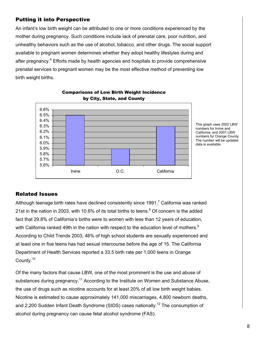An infant's low birth weight can be attributed to one or more conditions experienced by the mother during pregnancy. Such conditions include lack of prenatal care, poor nutrition, and unhealthy behaviors such as the use of alcohol, tobacco, and other drugs. The social support available to pregnant women determines whether they adopt healthy lifestyles during and after pregnancy.<sup>6</sup> Efforts made by health agencies and hospitals to provide comprehensive prenatal services to pregnant women may be the most effective method of preventing low birth weight births.



Comparisons of Low Birth Weight Incidence by City, State, and County

> This graph uses 2002 LBW numbers for Irvine and California, and 2001 LBW numbers for Orange County. The number will be updated data is available.

### Related Issues

Although teenage birth rates have declined consistently since 1991,<sup>7</sup> California was ranked 21st in the nation in 2003, with 10.6% of its total births to teens.<sup>8</sup> Of concern is the added fact that 29.8% of California's births were to women with less than 12 years of education, with California ranked 49th in the nation with respect to the education level of mothers. $9$ According to Child Trends 2003, 46% of high school students are sexually experienced and at least one in five teens has had sexual intercourse before the age of 15. The California Department of Health Services reported a 33.5 birth rate per 1,000 teens in Orange County.10

Of the many factors that cause LBW, one of the most prominent is the use and abuse of substances during pregnancy.<sup>11</sup> According to the Institute on Women and Substance Abuse, the use of drugs such as nicotine accounts for at least 20% of all low birth weight babies. Nicotine is estimated to cause approximately 141,000 miscarriages, 4,800 newborn deaths, and 2,200 Sudden Infant Death Syndrome (SIDS) cases nationally.<sup>12</sup> The consumption of alcohol during pregnancy can cause fetal alcohol syndrome (FAS).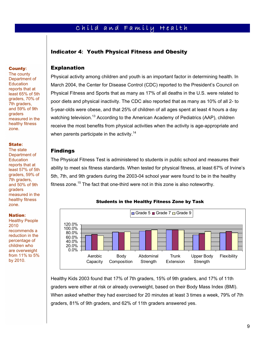# Child and Family Health

### Indicator 4**:** Youth Physical Fitness and Obesity

### Explanation

Physical activity among children and youth is an important factor in determining health. In March 2004, the Center for Disease Control (CDC) reported to the President's Council on Physical Fitness and Sports that as many as 17% of all deaths in the U.S. were related to poor diets and physical inactivity. The CDC also reported that as many as 10% of all 2- to 5-year-olds were obese, and that 25% of children of all ages spent at least 4 hours a day watching television.<sup>13</sup> According to the American Academy of Pediatrics (AAP), children receive the most benefits from physical activities when the activity is age-appropriate and when parents participate in the activity.<sup>14</sup>

### Findings

The Physical Fitness Test is administered to students in public school and measures their ability to meet six fitness standards. When tested for physical fitness, at least 67% of Irvine's 5th, 7th, and 9th graders during the 2003-04 school year were found to be in the healthy fitness zone.<sup>15</sup> The fact that one-third were not in this zone is also noteworthy.



Students in the Healthy Fitness Zone by Task

Healthy Kids 2003 found that 17% of 7th graders, 15% of 9th graders, and 17% of 11th graders were either at risk or already overweight, based on their Body Mass Index (BMI). When asked whether they had exercised for 20 minutes at least 3 times a week, 79% of 7th graders, 81% of 9th graders, and 62% of 11th graders answered yes.

#### The county Department of **Education** reports that at least 65% of 5th graders, 70% of 7th graders, and 59% of 9th graders measured in the

**County:** 

healthy fitness

#### State**:**

zone.

**County:**<br>The count<br>Departmel<br>Education<br>reports thas 65%<br>graders, 7<br>Th graders, 7<br>Th graders<br>graders measured<br>healthy fit<br>zone.<br>**State:**<br>The state Departmel<br>Least 57%<br>graders, 5<br>Th graders, 5<br>Th graders<br>measured healthy fi The state Department of **Education** reports that at least 57% of 5th graders, 59% of 7th graders, and 50% of 9th graders measured in the healthy fitness zone.

#### Nation**:**

Healthy People 2010 recommends a reduction in the percentage of children who are overweight from 11% to 5% by 2010.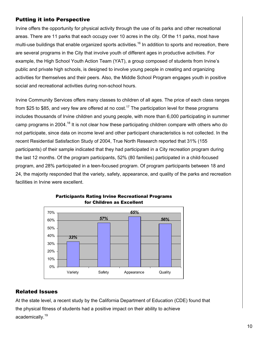Irvine offers the opportunity for physical activity through the use of its parks and other recreational areas. There are 11 parks that each occupy over 10 acres in the city. Of the 11 parks, most have multi-use buildings that enable organized sports activities.<sup>16</sup> In addition to sports and recreation, there are several programs in the City that involve youth of different ages in productive activities. For example, the High School Youth Action Team (YAT), a group composed of students from Irvine's public and private high schools, is designed to involve young people in creating and organizing activities for themselves and their peers. Also, the Middle School Program engages youth in positive social and recreational activities during non-school hours.

Irvine Community Services offers many classes to children of all ages. The price of each class ranges from \$25 to \$85, and very few are offered at no cost.<sup>17</sup> The participation level for these programs includes thousands of Irvine children and young people, with more than 6,000 participating in summer camp programs in 2004.<sup>18</sup> It is not clear how these participating children compare with others who do not participate, since data on income level and other participant characteristics is not collected. In the recent Residential Satisfaction Study of 2004, True North Research reported that 31% (155 participants) of their sample indicated that they had participated in a City recreation program during the last 12 months. Of the program participants, 52% (80 families) participated in a child-focused program, and 28% participated in a teen-focused program. Of program participants between 18 and 24, the majority responded that the variety, safety, appearance, and quality of the parks and recreation facilities in Irvine were excellent.



### Participants Rating Irvine Recreational Programs for Children as Excellent

### Related Issues

At the state level, a recent study by the California Department of Education (CDE) found that the physical fitness of students had a positive impact on their ability to achieve academically.<sup>19</sup>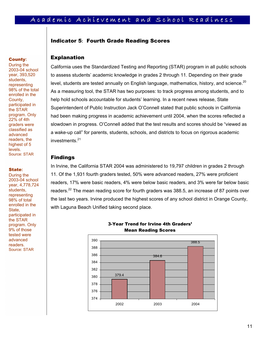# A c a d e m í c A c h í e v e m e n t a n d S c h o o l R e a d í n e s s

### Indicator 5**:** Fourth Grade Reading Scores

# **County:** Explanation

**County:**<br>
During the<br>
2003-04 s<br>
year, 393,<br>
students,<br>
representil<br>
98% of the<br>
enrolled in<br>
County,<br>
participate<br>
the STAR<br>
program. (22% of 4th<br>
divanced<br>
readers, the highest of<br>
levels.<br>
Source: ST.<br> **State:**<br>
During During the 2003-04 school year, 393,520 students, representing 98% of the total enrolled in the County, participated in the STAR program. Only 22% of 4th graders were classified as advanced readers, the highest of 5 levels. Source: STAR

#### State**:**

During the 2003-04 school year, 4,778,724 students, representing 98% of total enrolled in the State, participated in the STAR program. Only 9% of those tested were advanced readers. Source: STAR

California uses the Standardized Testing and Reporting (STAR) program in all public schools to assess students' academic knowledge in grades 2 through 11. Depending on their grade level, students are tested annually on English language, mathematics, history, and science.<sup>20</sup> As a measuring tool, the STAR has two purposes: to track progress among students, and to help hold schools accountable for students' learning. In a recent news release, State Superintendent of Public Instruction Jack O'Connell stated that public schools in California had been making progress in academic achievement until 2004, when the scores reflected a slowdown in progress. O'Connell added that the test results and scores should be "viewed as a wake-up call" for parents, students, schools, and districts to focus on rigorous academic investments. $21$ 

#### Findings

In Irvine, the California STAR 2004 was administered to 19,797 children in grades 2 through 11. Of the 1,931 fourth graders tested, 50% were advanced readers, 27% were proficient readers, 17% were basic readers, 4% were below basic readers, and 3% were far below basic readers.<sup>22</sup> The mean reading score for fourth graders was 388.5, an increase of 87 points over the last two years. Irvine produced the highest scores of any school district in Orange County, with Laguna Beach Unified taking second place.



3-Year Trend for Irvine 4th Graders' Mean Reading Scores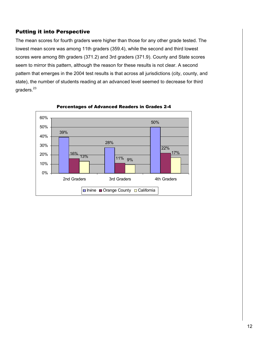The mean scores for fourth graders were higher than those for any other grade tested. The lowest mean score was among 11th graders (359.4), while the second and third lowest scores were among 8th graders (371.2) and 3rd graders (371.9). County and State scores seem to mirror this pattern, although the reason for these results is not clear. A second pattern that emerges in the 2004 test results is that across all jurisdictions (city, county, and state), the number of students reading at an advanced level seemed to decrease for third graders.<sup>23</sup>



Percentages of Advanced Readers in Grades 2-4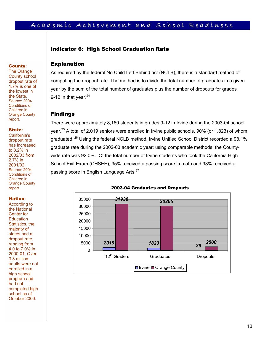# A c a d e m í c A c h í e v e m e n t a n d S c h o o l R e a d í n e s s

### Indicator 6: High School Graduation Rate

### Explanation

As required by the federal No Child Left Behind act (NCLB), there is a standard method of computing the dropout rate. The method is to divide the total number of graduates in a given year by the sum of the total number of graduates plus the number of dropouts for grades 9-12 in that year. $24$ 

#### Findings

There were approximately 8,160 students in grades 9-12 in Irvine during the 2003-04 school year.<sup>25</sup> A total of 2,019 seniors were enrolled in Irvine public schools, 90% (or 1,823) of whom graduated. 26 Using the federal NCLB method, Irvine Unified School District recorded a 98.1% graduate rate during the 2002-03 academic year; using comparable methods, the Countywide rate was 92.0%. Of the total number of Irvine students who took the California High School Exit Exam (CHSEE), 95% received a passing score in math and 93% received a passing score in English Language Arts.<sup>27</sup>



#### 2003-04 Graduates and Dropouts

#### **County:**

The Orange County school dropout rate of 1.7% is one of the lowest in the State. Source: 2004 Conditions of Children in Orange County report.

#### State**:**

California's dropout rate has increased to 3.2% in 2002/03 from 2.7% in 2001/02. Source: 2004 Conditions of Children in Orange County report.

#### Nation**:**

 October 2000. **County:**<br>The Orang<br>County scl dropout rate of the Orang<br>dropout rate of the lowest<br>the State.<br>Source: 200<br>Conditions Children in Orange Council<br>of the State:<br>California<sup>3</sup><br>dropout rate in a since and to 3.2% in<br>2002/03 fr According to the National Center for **Education** Statistics, the majority of states had a dropout rate ranging from 4.0 to 7.0% in 2000-01. Over 3.8 million adults were not enrolled in a high school program and had not completed high school as of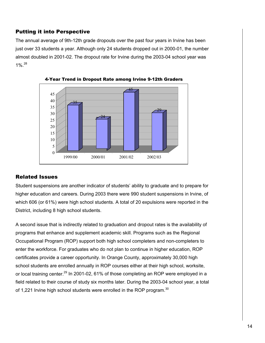The annual average of 9th-12th grade dropouts over the past four years in Irvine has been just over 33 students a year. Although only 24 students dropped out in 2000-01, the number almost doubled in 2001-02. The dropout rate for Irvine during the 2003-04 school year was  $1\%$ <sup>28</sup>





### Related Issues

Student suspensions are another indicator of students' ability to graduate and to prepare for higher education and careers. During 2003 there were 990 student suspensions in Irvine, of which 606 (or 61%) were high school students. A total of 20 expulsions were reported in the District, including 8 high school students.

A second issue that is indirectly related to graduation and dropout rates is the availability of programs that enhance and supplement academic skill. Programs such as the Regional Occupational Program (ROP) support both high school completers and non-completers to enter the workforce. For graduates who do not plan to continue in higher education, ROP certificates provide a career opportunity. In Orange County, approximately 30,000 high school students are enrolled annually in ROP courses either at their high school, worksite, or local training center.<sup>29</sup> In 2001-02, 61% of those completing an ROP were employed in a field related to their course of study six months later. During the 2003-04 school year, a total of 1,221 Irvine high school students were enrolled in the ROP program.<sup>30</sup>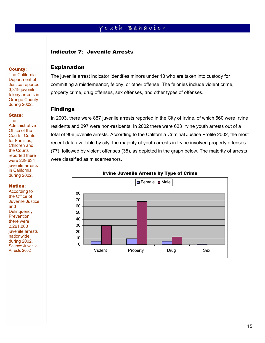# Youth Behavior

### Indicator 7**:** Juvenile Arrests

### Explanation

The juvenile arrest indicator identifies minors under 18 who are taken into custody for committing a misdemeanor, felony, or other offense. The felonies include violent crime, property crime, drug offenses, sex offenses, and other types of offenses.

### Findings

In 2003, there were 857 juvenile arrests reported in the City of Irvine, of which 560 were Irvine residents and 297 were non-residents. In 2002 there were 623 Irvine youth arrests out of a total of 906 juvenile arrests. According to the California Criminal Justice Profile 2002, the most recent data available by city, the majority of youth arrests in Irvine involved property offenses (77), followed by violent offenses (35), as depicted in the graph below. The majority of arrests were classified as misdemeanors.



#### Irvine Juvenile Arrests by Type of Crime

#### **County:**

The California Department of Justice reported 3,319 juvenile felony arrests in Orange County during 2002.

#### State**:**

The **Administrative** Office of the Courts, Center for Families, Children and the Courts reported there were 229,634 juvenile arrests in California during 2002.

#### Nation**:**

**County:**<br>The Califo<br>Departmel<br>Justice reresponding and<br>Sample Counting 200<br>State:<br>The Administra Office of the Courts, Cetar Counting 200<br>State: The Courts, Cetar Counting and<br>the Courts are counted in Californ<br>in Califor According to the Office of Juvenile Justice and **Delinquency** Prevention, there were 2,261,000 juvenile arrests nationwide during 2002. Source: Juvenile Arrests 2002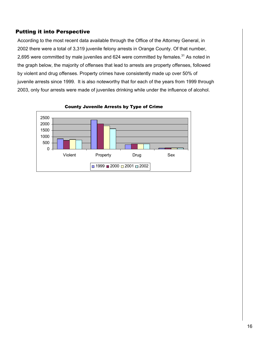According to the most recent data available through the Office of the Attorney General, in 2002 there were a total of 3,319 juvenile felony arrests in Orange County. Of that number, 2,695 were committed by male juveniles and 624 were committed by females.<sup>31</sup> As noted in the graph below, the majority of offenses that lead to arrests are property offenses, followed by violent and drug offenses. Property crimes have consistently made up over 50% of juvenile arrests since 1999. It is also noteworthy that for each of the years from 1999 through 2003, only four arrests were made of juveniles drinking while under the influence of alcohol.



County Juvenile Arrests by Type of Crime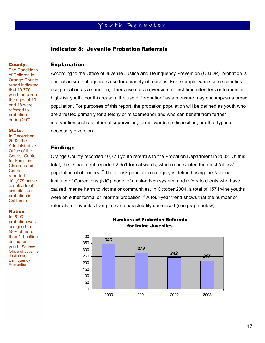# Youth Behavior

### Indicator 8**:** Juvenile Probation Referrals

#### Explanation

According to the Office of Juvenile Justice and Delinquency Prevention (OJJDP), probation is a mechanism that agencies use for a variety of reasons. For example, while some counties use probation as a sanction, others use it as a diversion for first-time offenders or to monitor high-risk youth. For this reason, the use of "probation" as a measure may encompass a broad population. For purposes of this report, the probation population will be defined as youth who are arrested primarily for a felony or misdemeanor and who can benefit from further intervention such as informal supervision, formal wardship disposition, or other types of necessary diversion.

### Findings

Orange County recorded 10,770 youth referrals to the Probation Department in 2002. Of this total, the Department reported 2,951 formal wards, which represented the most "at-risk" population of offenders.<sup>32</sup> The at-risk population category is defined using the National Institute of Corrections (NIC) model of a risk-driven system, and refers to clients who have caused intense harm to victims or communities. In October 2004, a total of 157 Irvine youths were on either formal or informal probation.<sup>33</sup> A four-year trend shows that the number of referrals for juveniles living in Irvine has steadily decreased (see graph below).

In 2000 probation was assigned to 58% of more than 1.1 million delinquent youth. Source: Office of Juvenile Justice and **Delinquency Prevention** 

#### Numbers of Probation Referrals for Irvine Juveniles



# **County:**

The Conditions of Children in Orange County report indicated that 10,770 youth between the ages of 10 and 18 were referred to probation during 2002.

#### State**:**

**County:**<br>The Condi<br>of Childrer<br>Orange Condition<br>report inditional that 10,77<br>youth between the ages c<br>and 18 we<br>referred to probation<br>during 200<br>**State:**<br>In December 2002, the Administra Office of the Courts,<br>Contrast, re In December 2002, the **Administrative** Office of the Courts, Center for Families, Children and Courts, reported 101,979 active caseloads of juveniles on probation in California.

#### Nation**:**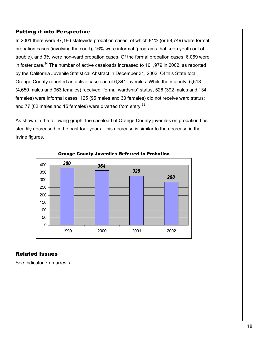In 2001 there were 87,186 statewide probation cases, of which 81% (or 69,749) were formal probation cases (involving the court), 16% were informal (programs that keep youth out of trouble), and 3% were non-ward probation cases. Of the formal probation cases, 6,069 were in foster care.<sup>34</sup> The number of active caseloads increased to 101,979 in 2002, as reported by the California Juvenile Statistical Abstract in December 31, 2002. Of this State total, Orange County reported an active caseload of 6,341 juveniles. While the majority, 5,613 (4,650 males and 963 females) received "formal wardship" status, 526 (392 males and 134 females) were informal cases; 125 (95 males and 30 females) did not receive ward status; and 77 (62 males and 15 females) were diverted from entry.<sup>35</sup>

As shown in the following graph, the caseload of Orange County juveniles on probation has steadily decreased in the past four years. This decrease is similar to the decrease in the Irvine figures.



#### Orange County Juveniles Referred to Probation

### Related Issues

See Indicator 7 on arrests.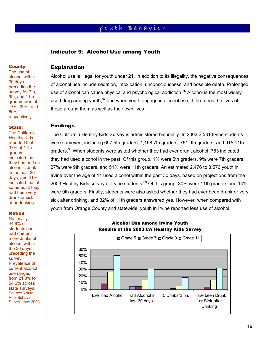# Youth Behavior

### Indicator 9**:** Alcohol Use among Youth

### **County:**

The use of alcohol within 30 days preceding the survey for 7th, 9th, and 11th graders was at 17%, 39%, and 60% respectively.

#### State**:**

The California Healthy Kids reported that 37% of 11th graders indicated that they had had an alcoholic drink in the past 30 days, and 41% indicated that at some point they had been very drunk or sick after drinking.

#### Nation**:**

**County:**<br>The use o'<br>alcohol with<br>30 days<br>preceding<br>survey for<br>9th, and 1<br>graders was<br>60%<br>respective<br>60%<br>**State:**<br>The Califo Healthy Ki<br>reported the Marginal Straders indicated they had h<br>alcoholic c in the past<br>days, and Nationally, 44.9% of students had had one or more drinks of alcohol within the 30 days preceding the survey. Prevalence of current alcohol use ranged from 21.3% to 54.2% across state surveys. Source: Youth Risk Behavior Surveillance 2003

### Explanation

Alcohol use is illegal for youth under 21. In addition to its illegality, the negative consequences of alcohol use include sedation, intoxication, unconsciousness, and possible death. Prolonged use of alcohol can cause physical and psychological addiction.<sup>36</sup> Alcohol is the most widely used drug among youth, $37$  and when youth engage in alcohol use, it threatens the lives of those around them as well as their own lives.

#### Findings

The California Healthy Kids Survey is administered biennially. In 2003 3,531 Irvine students were surveyed, including 697 5th graders, 1,158 7th graders, 761 9th graders, and 915 11th graders.<sup>38</sup> When students were asked whether they had ever drunk alcohol, 783 indicated they had used alcohol in the past. Of this group, 1% were 5th graders, 9% were 7th graders, 27% were 9th graders, and 51% were 11th graders. An estimated 2,476 to 3,576 youth in Irvine over the age of 14 used alcohol within the past 30 days, based on projections from the 2003 Healthy Kids survey of Irvine students.<sup>39</sup> Of this group, 30% were 11th graders and 14% were 9th graders. Finally, students were also asked whether they had ever been drunk or very sick after drinking, and 32% of 11th graders answered yes. However, when compared with youth from Orange County and statewide, youth in Irvine reported less use of alcohol.



### Alcohol Use among Irvine Youth Results of the 2003 CA Healthy Kids Survey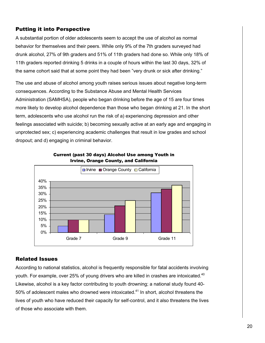A substantial portion of older adolescents seem to accept the use of alcohol as normal behavior for themselves and their peers. While only 9% of the 7th graders surveyed had drunk alcohol, 27% of 9th graders and 51% of 11th graders had done so. While only 18% of 11th graders reported drinking 5 drinks in a couple of hours within the last 30 days, 32% of the same cohort said that at some point they had been "very drunk or sick after drinking."

The use and abuse of alcohol among youth raises serious issues about negative long-term consequences. According to the Substance Abuse and Mental Health Services Administration (SAMHSA), people who began drinking before the age of 15 are four times more likely to develop alcohol dependence than those who began drinking at 21. In the short term, adolescents who use alcohol run the risk of a) experiencing depression and other feelings associated with suicide; b) becoming sexually active at an early age and engaging in unprotected sex; c) experiencing academic challenges that result in low grades and school dropout; and d) engaging in criminal behavior.



Current (past 30 days) Alcohol Use among Youth in Irvine, Orange County, and California

### Related Issues

According to national statistics, alcohol is frequently responsible for fatal accidents involving youth. For example, over 25% of young drivers who are killed in crashes are intoxicated.<sup>40</sup> Likewise, alcohol is a key factor contributing to youth drowning; a national study found 40- 50% of adolescent males who drowned were intoxicated.<sup>41</sup> In short, alcohol threatens the lives of youth who have reduced their capacity for self-control, and it also threatens the lives of those who associate with them.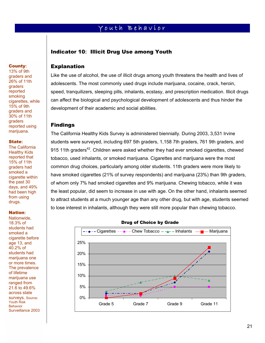# Youth Behavior

### Indicator 10**:** Illicit Drug Use among Youth

#### Explanation

Like the use of alcohol, the use of illicit drugs among youth threatens the health and lives of adolescents. The most commonly used drugs include marijuana, cocaine, crack, heroin, speed, tranquilizers, sleeping pills, inhalants, ecstasy, and prescription medication. Illicit drugs can affect the biological and psychological development of adolescents and thus hinder the development of their academic and social abilities.

### Findings

The California Healthy Kids Survey is administered biennially. During 2003, 3,531 Irvine students were surveyed, including 697 5th graders, 1,158 7th graders, 761 9th graders, and 915 11th graders<sup>42</sup>. Children were asked whether they had ever smoked cigarettes, chewed tobacco, used inhalants, or smoked marijuana. Cigarettes and marijuana were the most common drug choices, particularly among older students. 11th graders were more likely to have smoked cigarettes (21% of survey respondents) and marijuana (23%) than 9th graders, of whom only 7% had smoked cigarettes and 9% marijuana. Chewing tobacco, while it was the least popular, did seem to increase in use with age. On the other hand, inhalants seemed to attract students at a much younger age than any other drug, but with age, students seemed to lose interest in inhalants, although they were still more popular than chewing tobacco.



#### Drug of Choice by Grade

#### **County:**

13% of 9th graders and 26% of 11th graders reported smoking cigarettes, while 15% of 9th graders and 30% of 11th graders reported using marijuana.

#### State**:**

The California Healthy Kids reported that 15% of 11th graders had smoked a cigarette within the past 30 days, and 49% had been high from using drugs.

#### Nation**:**

**County:**<br>13% of 9th<br>graders are<br>26% of 11<br>graders are ported<br>smoking cigarettes,<br>15% of 9th<br>graders are 30% of 11<br>graders are 30% of 11<br>graders reported unarijuana.<br>**State:**<br>The Califo Healthy Ki reported the past 30<br>days Nationwide, 18.3% of students had smoked a cigarette before age 13, and 40.2% of students had marijuana one or more times. The prevalence of lifetime marijuana use ranged from 21.6 to 49.6% across state surveys. Source: Youth Risk Behavior Surveillance 2003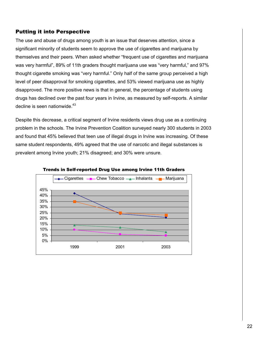The use and abuse of drugs among youth is an issue that deserves attention, since a significant minority of students seem to approve the use of cigarettes and marijuana by themselves and their peers. When asked whether "frequent use of cigarettes and marijuana was very harmful", 89% of 11th graders thought marijuana use was "very harmful," and 97% thought cigarette smoking was "very harmful." Only half of the same group perceived a high level of peer disapproval for smoking cigarettes, and 53% viewed marijuana use as highly disapproved. The more positive news is that in general, the percentage of students using drugs has declined over the past four years in Irvine, as measured by self-reports. A similar decline is seen nationwide. $43$ 

Despite this decrease, a critical segment of Irvine residents views drug use as a continuing problem in the schools. The Irvine Prevention Coalition surveyed nearly 300 students in 2003 and found that 45% believed that teen use of illegal drugs in Irvine was increasing. Of these same student respondents, 49% agreed that the use of narcotic and illegal substances is prevalent among Irvine youth; 21% disagreed; and 30% were unsure.



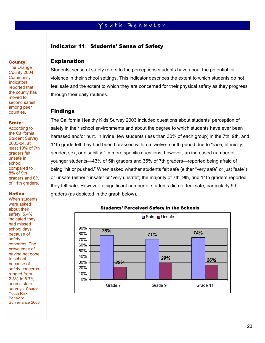# Youth Behavior

### Indicator 11**:** Students' Sense of Safety

#### **County:**

**The Orange** County 2004 **Community Indicators** reported that the county has moved to second safest among peer counties.

#### State**:**

According to the California Student Survey 2003-04, at least 10% of 7th graders felt unsafe in school compared to 8% of 9th graders and 8% of 11th graders.

#### Nation**:**

**County:**<br>The Orang<br>County 20<br>Communit<br>Indicators<br>reported the county<br>moved to<br>second sa among pecunties.<br>State:<br>According becounties.<br>State:<br>According the Califor<br>Student Signales in School<br>compared 8% of 9th<br>graders fe u When students were asked about their safety, 5.4% indicated they had missed school days because of safety concerns. The prevalence of having not gone to school because of safety concerns ranged from 2.8% to 8.7% across state surveys. Source: Youth Risk **Behavior** Surveillance 2003

### Explanation

Students' sense of safety refers to the perceptions students have about the potential for violence in their school settings. This indicator describes the extent to which students do not feel safe and the extent to which they are concerned for their physical safety as they progress through their daily routines.

#### Findings

The California Healthy Kids Survey 2003 included questions about students' perception of safety in their school environments and about the degree to which students have ever been harassed and/or hurt. In Irvine, few students (less than 30% of each group) in the 7th, 9th, and 11th grade felt they had been harassed within a twelve-month period due to "race, ethnicity, gender, sex, or disability." In more specific questions, however, an increased number of younger students—43% of 5th graders and 35% of 7th graders—reported being afraid of being "hit or pushed." When asked whether students felt safe (either "very safe" or just "safe") or unsafe (either "unsafe" or "very unsafe") the majority of 7th, 9th, and 11th graders reported they felt safe. However, a significant number of students did not feel safe, particularly 9th graders (as depicted in the graph below).



### Students' Perceived Safety in the Schools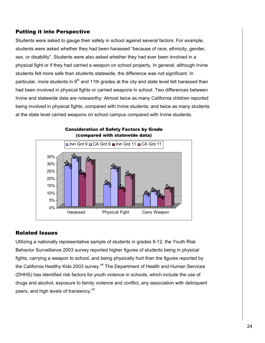Students were asked to gauge their safety in school against several factors. For example, students were asked whether they had been harassed "because of race, ethnicity, gender, sex, or disability". Students were also asked whether they had ever been involved in a physical fight or if they had carried a weapon on school property. In general, although Irvine students felt more safe than students statewide, the difference was not significant. In particular, more students in  $9<sup>th</sup>$  and 11th grades at the city and state level felt harassed than had been involved in physical fights or carried weapons in school. Two differences between Irvine and statewide data are noteworthy: Almost twice as many California children reported being involved in physical fights, compared with Irvine students; and twice as many students at the state level carried weapons on school campus compared with Irvine students.



# Consideration of Safety Factors by Grade

### Related Issues

Utilizing a nationally representative sample of students in grades 9-12, the Youth Risk Behavior Surveillance 2003 survey reported higher figures of students being in physical fights, carrying a weapon to school, and being physically hurt than the figures reported by the California Healthy Kids 2003 survey.<sup>44</sup> The Department of Health and Human Services (DHHS) has identified risk factors for youth violence in schools, which include the use of drugs and alcohol, exposure to family violence and conflict, any association with delinquent peers, and high levels of transiency.<sup>45</sup>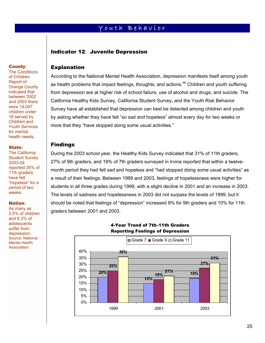# Youth Behavior

### Indicator 12: Juvenile Depression

#### **County:**

**County:**<br>The Condi<br>of Childrer<br>Report of<br>Orange Coindicated t<br>between 2<br>and 2003 were 14,0-<br>children un<br>18 served Children a<br>Youth Served Children and Youth Served 3<br>11th grade<br>2003-04<br>reported 3<br>11th grade<br>Anave felt<br>"ho The Conditions of Children Report of Orange County indicated that between 2002 and 2003 there were 14,047 children under 18 served by Children and Youth Services for mental health needs.

#### State**:**

The California Student Survey 2003-04 reported 35% of 11th graders have felt "hopeless" for a period of two weeks.

#### Nation**:**

As many as 2.5% of children and 8.3% of adolescents suffer from depression. Source: National Mental Health **Association** 

### Explanation

According to the National Mental Health Association, depression manifests itself among youth as health problems that impact feelings, thoughts, and actions.<sup>46</sup> Children and youth suffering from depression are at higher risk of school failure, use of alcohol and drugs, and suicide. The California Healthy Kids Survey, California Student Survey, and the Youth Risk Behavior Survey have all established that depression can best be detected among children and youth by asking whether they have felt "so sad and hopeless" almost every day for two weeks or more that they "have stopped doing some usual activities."

### Findings

During the 2003 school year, the Healthy Kids Survey indicated that 31% of 11th graders, 27% of 9th graders, and 19% of 7th graders surveyed in Irvine reported that within a twelvemonth period they had felt sad and hopeless and "had stopped doing some usual activities" as a result of their feelings. Between 1999 and 2003, feelings of hopelessness were higher for students in all three grades during 1999, with a slight decline in 2001 and an increase in 2003. The levels of sadness and hopelessness in 2003 did not surpass the levels of 1999, but it should be noted that feelings of "depression" increased 9% for 9th graders and 10% for 11th graders between 2001 and 2003.



### 4-Year Trend of 7th–11th Graders Reporting Feelings of Depression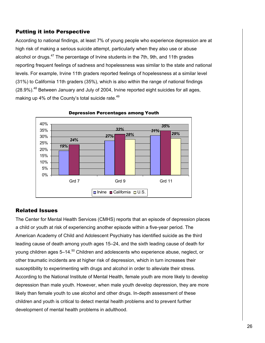According to national findings, at least 7% of young people who experience depression are at high risk of making a serious suicide attempt, particularly when they also use or abuse alcohol or drugs.<sup>47</sup> The percentage of Irvine students in the 7th, 9th, and 11th grades reporting frequent feelings of sadness and hopelessness was similar to the state and national levels. For example, Irvine 11th graders reported feelings of hopelessness at a similar level (31%) to California 11th graders (35%), which is also within the range of national findings  $(28.9\%)$ <sup>48</sup> Between January and July of 2004, Irvine reported eight suicides for all ages, making up 4% of the County's total suicide rate.<sup>49</sup>



Depression Percentages among Youth

### Related Issues

The Center for Mental Health Services (CMHS) reports that an episode of depression places a child or youth at risk of experiencing another episode within a five-year period. The American Academy of Child and Adolescent Psychiatry has identified suicide as the third leading cause of death among youth ages 15–24, and the sixth leading cause of death for young children ages  $5-14.50$  Children and adolescents who experience abuse, neglect, or other traumatic incidents are at higher risk of depression, which in turn increases their susceptibility to experimenting with drugs and alcohol in order to alleviate their stress. According to the National Institute of Mental Health, female youth are more likely to develop depression than male youth. However, when male youth develop depression, they are more likely than female youth to use alcohol and other drugs. In-depth assessment of these children and youth is critical to detect mental health problems and to prevent further development of mental health problems in adulthood.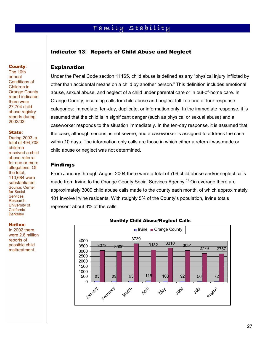# Family Stability

### Indicator 13**:** Reports of Child Abuse and Neglect

### Explanation

Under the Penal Code section 11165, child abuse is defined as any "physical injury inflicted by other than accidental means on a child by another person." This definition includes emotional abuse, sexual abuse, and neglect of a child under parental care or in out-of-home care. In Orange County, incoming calls for child abuse and neglect fall into one of four response categories: immediate, ten-day, duplicate, or information only. In the immediate response, it is assumed that the child is in significant danger (such as physical or sexual abuse) and a caseworker responds to the situation immediately. In the ten-day response, it is assumed that the case, although serious, is not severe, and a caseworker is assigned to address the case within 10 days. The information only calls are those in which either a referral was made or child abuse or neglect was not determined.

#### Findings

From January through August 2004 there were a total of 709 child abuse and/or neglect calls made from Irvine to the Orange County Social Services Agency.<sup>51</sup> On average there are approximately 3000 child abuse calls made to the county each month, of which approximately 101 involve Irvine residents. With roughly 5% of the County's population, Irvine totals represent about 3% of the calls.



#### Monthly Child Abuse/Neglect Calls

#### **County:**

The 10th annual Conditions of Children in Orange County report indicated there were 27,704 child abuse registry reports during 2002/03.

#### State**:**

**County:**<br>The 10th<br>annual<br>Conditions in<br>Children ir<br>Orange Coreport indie<br>there were<br>abuse regives du<br>abuse regives due<br>2002/03.<br>**State:**<br>During 2002/03.<br>**State:**<br>During 2002/03.<br>**State:**<br>Colidren received a abuse refe<br>for During 2003, a total of 494,708 children received a child abuse referral for one or more allegations. Of the total, 110,684 were substantiated. Source: Center for Social **Services** Research, University of **California Berkeley** 

Nation**:**

In 2002 there were 2.6 million reports of possible child maltreatment.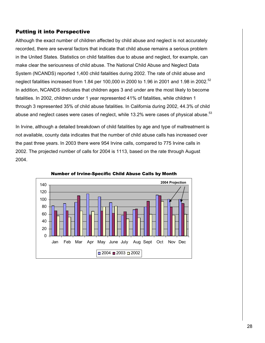Although the exact number of children affected by child abuse and neglect is not accurately recorded, there are several factors that indicate that child abuse remains a serious problem in the United States. Statistics on child fatalities due to abuse and neglect, for example, can make clear the seriousness of child abuse. The National Child Abuse and Neglect Data System (NCANDS) reported 1,400 child fatalities during 2002. The rate of child abuse and neglect fatalities increased from 1.84 per 100,000 in 2000 to 1.96 in 2001 and 1.98 in 2002.<sup>52</sup> In addition, NCANDS indicates that children ages 3 and under are the most likely to become fatalities. In 2002, children under 1 year represented 41% of fatalities, while children 1 through 3 represented 35% of child abuse fatalities. In California during 2002, 44.3% of child abuse and neglect cases were cases of neglect, while 13.2% were cases of physical abuse. $53$ 

In Irvine, although a detailed breakdown of child fatalities by age and type of maltreatment is not available, county data indicates that the number of child abuse calls has increased over the past three years. In 2003 there were 954 Irvine calls, compared to 775 Irvine calls in 2002. The projected number of calls for 2004 is 1113, based on the rate through August 2004.



Number of Irvine-Specific Child Abuse Calls by Month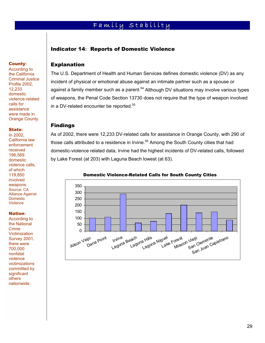# Family Stability

### Indicator 14**:** Reports of Domestic Violence

According to the California Criminal Justice Profile 2002, 12,233 domestic violence-related calls for assistance were made in Orange County.

#### State**:**

**County:** 

**County:**<br>According<br>the Califor<br>Criminal Juncilie 200<br>12,233<br>domestic violence-recalls for<br>assistance<br>were madd<br>Orange Co<br>**State:**<br>In 2002,<br>California<br>enforceme received<br>196,569<br>domestic violence cifor which<br>119,850<br>domest In 2002, California law enforcement received 196,569 domestic violence calls, of which 119,850 involved weapons. Source: CA Alliance Against **Domestic** Violence

#### Nation**:**

According to the National Crime **Victimization** Survey 2001, there were 700,000 nonfatal violence victimizations committed by significant others nationwide.

### Explanation

The U.S. Department of Health and Human Services defines domestic violence (DV) as any incident of physical or emotional abuse against an intimate partner such as a spouse or against a family member such as a parent.<sup>54</sup> Although DV situations may involve various types of weapons, the Penal Code Section 13730 does not require that the type of weapon involved in a DV-related encounter be reported.<sup>55</sup>

#### Findings

As of 2002, there were 12,233 DV-related calls for assistance in Orange County, with 290 of those calls attributed to a residence in Irvine.<sup>56</sup> Among the South County cities that had domestic-violence related data, Irvine had the highest incidents of DV-related calls, followed by Lake Forest (at 203) with Laguna Beach lowest (at 63).



#### Domestic Violence-Related Calls for South County Cities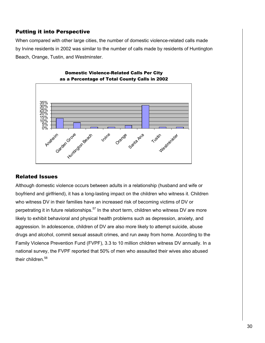When compared with other large cities, the number of domestic violence-related calls made by Irvine residents in 2002 was similar to the number of calls made by residents of Huntington Beach, Orange, Tustin, and Westminster.



Domestic Violence-Related Calls Per City

### Related Issues

Although domestic violence occurs between adults in a relationship (husband and wife or boyfriend and girlfriend), it has a long-lasting impact on the children who witness it. Children who witness DV in their families have an increased risk of becoming victims of DV or perpetrating it in future relationships.<sup>57</sup> In the short term, children who witness DV are more likely to exhibit behavioral and physical health problems such as depression, anxiety, and aggression. In adolescence, children of DV are also more likely to attempt suicide, abuse drugs and alcohol, commit sexual assault crimes, and run away from home. According to the Family Violence Prevention Fund (FVPF), 3.3 to 10 million children witness DV annually. In a national survey, the FVPF reported that 50% of men who assaulted their wives also abused their children.<sup>58</sup>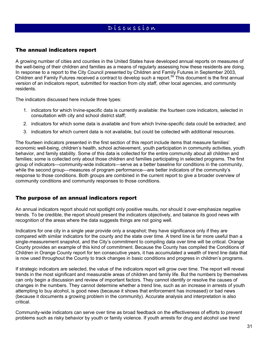# D i s c u s s i o n

### The annual indicators report

A growing number of cities and counties in the United States have developed annual reports on measures of the well-being of their children and families as a means of regularly assessing how these residents are doing. In response to a report to the City Council presented by Children and Family Futures in September 2003, Children and Family Futures received a contract to develop such a report.<sup>59</sup> This document is the first annual version of an indicators report, submitted for reaction from city staff, other local agencies, and community residents.

The indicators discussed here include three types:

- 1. indicators for which Irvine-specific data is currently available: the fourteen core indicators, selected in consultation with city and school district staff;
- 2. indicators for which some data is available and from which Irvine-specific data could be extracted; and
- 3. indicators for which current data is not available, but could be collected with additional resources.

The fourteen indicators presented in the first section of this report include items that measure families' economic well-being, children's health, school achievement, youth participation in community activities, youth behavior, and family stability. Some of this data is collected for the entire community about all children and families; some is collected only about those children and families participating in selected programs. The first group of indicators—community-wide indicators—serve as a better baseline for conditions in the community, while the second group—measures of program performance—are better indicators of the community's response to those conditions. Both groups are combined in the current report to give a broader overview of community conditions and community responses to those conditions.

### The purpose of an annual indicators report

An annual indicators report should not spotlight only positive results, nor should it over-emphasize negative trends. To be credible, the report should present the indicators objectively, and balance its good news with recognition of the areas where the data suggests things are not going well.

Indicators for one city in a single year provide only a snapshot; they have significance only if they are compared with similar indicators for the county and the state over time. A trend line is far more useful than a single-measurement snapshot, and the City's commitment to compiling data over time will be critical. Orange County provides an example of this kind of commitment. Because the County has compiled the Conditions of Children in Orange County report for ten consecutive years, it has accumulated a wealth of trend line data that is now used throughout the County to track changes in basic conditions and progress in children's programs.

If strategic indicators are selected, the value of the indicators report will grow over time. The report will reveal trends in the most significant and measurable areas of children and family life. But the numbers by themselves can only begin a discussion and review of important factors. They cannot identify or resolve the causes of changes in the numbers. They cannot determine whether a trend line, such as an increase in arrests of youth attempting to buy alcohol, is good news (because it shows that enforcement has increased) or bad news (because it documents a growing problem in the community). Accurate analysis and interpretation is also critical.

Community-wide indicators can serve over time as broad feedback on the effectiveness of efforts to prevent problems such as risky behavior by youth or family violence. If youth arrests for drug and alcohol use trend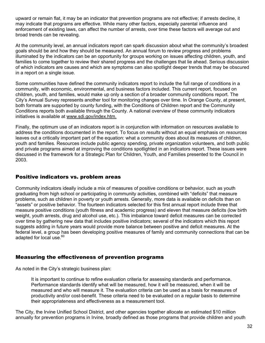upward or remain flat, it may be an indicator that prevention programs are not effective; if arrests decline, it may indicate that programs are effective. While many other factors, especially parental influence and enforcement of existing laws, can affect the number of arrests, over time these factors will average out and broad trends can be revealing.

At the community level, an annual indicators report can spark discussion about what the community's broadest goals should be and how they should be measured. An annual forum to review progress and problems illuminated by the indicators can be an opportunity for groups working on issues affecting children, youth, and families to come together to review their shared progress and the challenges that lie ahead. Serious discussion of which indicators are causes and which are symptoms can also spotlight deeper trends that may be obscured in a report on a single issue.

Some communities have defined the community indicators report to include the full range of conditions in a community, with economic, environmental, and business factors included. This current report, focused on children, youth, and families, would make up only a section of a broader community conditions report. The City's Annual Survey represents another tool for monitoring changes over time. In Orange County, at present, both formats are supported by county funding, with the Conditions of Children report and the Community Conditions reports both available through the County. A national overview of these community indicators initiatives is available at www.sdi.gov/index.htm.

Finally, the optimum use of an indicators report is in conjunction with information on resources available to address the conditions documented in the report. To focus on *results* without an equal emphasis on *resources* leaves out a critically important part of the equation: what a community does about its measures of children, youth and families. Resources include public agency spending, private organization volunteers, and both public and private programs aimed at improving the conditions spotlighted in an indicators report. These issues were discussed in the framework for a Strategic Plan for Children, Youth, and Families presented to the Council in 2003.

### Positive indicators vs. problem areas

Community indicators ideally include a mix of measures of positive conditions or behavior, such as youth graduating from high school or participating in community activities, combined with "deficits" that measure problems, such as children in poverty or youth arrests. Generally, more data is available on deficits than on "assets" or positive behavior. The fourteen indicators selected for this first annual report include three that measure positive conditions (youth fitness and academic progress) and eleven that measure deficits (low birth weight, youth arrests, drug and alcohol use, etc.). This imbalance toward deficit measures can be corrected over time by gathering new data that includes positive indicators; several of the indicators which this report suggests adding in future years would provide more balance between positive and deficit measures. At the federal level, a group has been developing positive measures of family and community connections that can be adapted for local use.<sup>60</sup>

### Measuring the effectiveness of prevention programs

As noted in the City's strategic business plan:

It is important to continue to refine evaluation criteria for assessing standards and performance. Performance standards identify what will be measured, how it will be measured, when it will be measured and who will measure it. The evaluation criteria can be used as a basis for measures of productivity and/or cost-benefit. These criteria need to be evaluated on a regular basis to determine their appropriateness and effectiveness as a measurement tool.

The City, the Irvine Unified School District, and other agencies together allocate an estimated \$10 million annually for prevention programs in Irvine, broadly defined as those programs that provide children and youth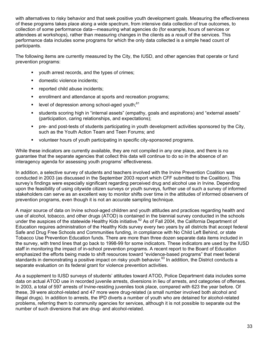with alternatives to risky behavior and that seek positive youth development goals. Measuring the effectiveness of these programs takes place along a wide spectrum, from intensive data collection of true outcomes, to collection of some performance data—measuring what agencies do (for example, hours of services or attendees at workshops), rather than measuring changes in the clients as a *result* of the services. This performance data includes some programs for which the only data collected is a simple head count of participants.

The following items are currently measured by the City, the IUSD, and other agencies that operate or fund prevention programs:

- youth arrest records, and the types of crimes;
- **domestic violence incidents;**
- reported child abuse incidents;
- **EXECTE 1** enrollment and attendance at sports and recreation programs;
- level of depression among school-aged youth; $61$
- students scoring high in "internal assets" (empathy, goals and aspirations) and "external assets" (participation, caring relationships, and expectations);
- pre- and post-tests of students participating in youth development activities sponsored by the City, such as the Youth Action Team and Teen Forums; and
- volunteer hours of youth participating in specific city-sponsored programs.

While these indicators are currently available, they are not compiled in any one place, and there is no guarantee that the separate agencies that collect this data will continue to do so in the absence of an interagency agenda for assessing youth programs' effectiveness.

In addition, a selective survey of students and teachers involved with the Irvine Prevention Coalition was conducted in 2003 (as discussed in the September 2003 report which CFF submitted to the Coalition). This survey's findings were especially significant regarding perceived drug and alcohol use in Irvine. Depending upon the feasibility of using citywide citizen surveys or youth surveys, further use of such a survey of informed stakeholders can serve as an excellent way to monitor shifts over time in the attitudes of informed observers of prevention programs, even though it is not an accurate sampling technique.

A major source of data on Irvine school-aged children and youth attitudes and practices regarding health and use of alcohol, tobacco, and other drugs (ATOD) is contained in the biennial survey conducted in the schools under the auspices of the statewide Healthy Kids initiative.<sup>62</sup> As of Fall 2004, the California Department of Education requires administration of the Healthy Kids survey every two years by all districts that accept federal Safe and Drug Free Schools and Communities funding, in compliance with No Child Left Behind, or state Tobacco Use Prevention Education funds. There are more than three dozen separate data items included in the survey, with trend lines that go back to 1998-99 for some indicators. These indicators are used by the IUSD staff in monitoring the impact of in-school prevention programs. A recent report to the Board of Education emphasized the efforts being made to shift resources toward "evidence-based programs" that meet federal standards in demonstrating a positive impact on risky youth behavior.<sup>63</sup> In addition, the District conducts a separate evaluation on its federal grant for violence prevention activities.

As a supplement to IUSD surveys of students' attitudes toward ATOD, Police Department data includes some data on actual ATOD use in recorded juvenile arrests, diversions in lieu of arrests, and categories of offenses. In 2003, a total of 597 arrests of Irvine-residing juveniles took place, compared with 623 the year before. Of these, 39 were alcohol-related and 47 more were drug-related (a small number involved both alcohol and illegal drugs). In addition to arrests, the IPD diverts a number of youth who are detained for alcohol-related problems, referring them to community agencies for services, although it is not possible to separate out the number of such diversions that are drug- and alcohol-related.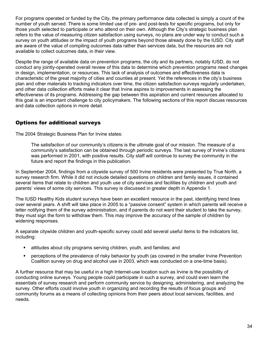For programs operated or funded by the City, the primary performance data collected is simply a count of the number of youth served. There is some limited use of pre- and post-tests for specific programs, but only for those youth selected to participate or who attend on their own. Although the City's strategic business plan refers to the value of measuring citizen satisfaction using surveys, no plans are under way to conduct such a survey on youth attitudes or the impact of youth programs beyond those already done by the IUSD. City staff are aware of the value of compiling outcomes data rather than services data, but the resources are not available to collect outcomes data, in their view.

Despite the range of available data on prevention programs, the city and its partners, notably IUSD, do not conduct any jointly-operated overall review of this data to determine which prevention programs need changes in design, implementation, or resources. This lack of analysis of outcomes and effectiveness data is characteristic of the great majority of cities and counties at present. Yet the references in the city's business plan and other materials to tracking indicators over time, the citizen satisfaction surveys regularly undertaken, and other data collection efforts make it clear that Irvine aspires to improvements in assessing the effectiveness of its programs. Addressing the gap between this aspiration and current resources allocated to this goal is an important challenge to city policymakers. The following sections of this report discuss resources and data collection options in more detail.

### Options for additional surveys

The 2004 Strategic Business Plan for Irvine states:

The satisfaction of our community's citizens is the ultimate goal of our mission. The measure of a community's satisfaction can be obtained through periodic surveys. The last survey of Irvine's citizens was performed in 2001, with positive results. City staff will continue to survey the community in the future and report the findings in this publication.

In September 2004, findings from a citywide survey of 500 Irvine residents were presented by True North, a survey research firm. While it did not include detailed questions on children and family issues, it contained several items that relate to children and youth use of city services and facilities by children and youth and parents' views of some city services. This survey is discussed in greater depth in Appendix 1.

The IUSD Healthy Kids student surveys have been an excellent resource in the past, identifying trend lines over several years. A shift will take place in 2005 to a "passive consent" system in which parents will receive a letter notifying them of the survey administration, and if parents do not want their student to take the survey, they must sign the form to withdraw them. This may improve the accuracy of the sample of children by widening responses.

A separate citywide children and youth-specific survey could add several useful items to the indicators list, including:

- attitudes about city programs serving children, youth, and families; and
- perceptions of the prevalence of risky behavior by youth (as covered in the smaller Irvine Prevention Coalition survey on drug and alcohol use in 2003, which was conducted on a one-time basis).

A further resource that may be useful in a high Internet-use location such as Irvine is the possibility of conducting online surveys. Young people could participate in such a survey, and could even learn the essentials of survey research and perform community service by designing, administering, and analyzing the survey. Other efforts could involve youth in organizing and recording the results of focus groups and community forums as a means of collecting opinions from their peers about local services, facilities, and needs.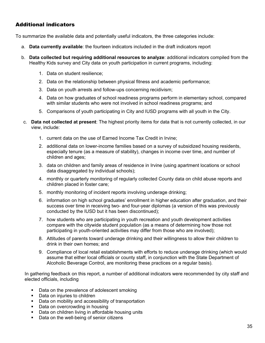### Additional indicators

To summarize the available data and potentially useful indicators, the three categories include:

- a. **Data currently available**: the fourteen indicators included in the draft indicators report
- b. **Data collected but requiring additional resources to analyze**: additional indicators compiled from the Healthy Kids survey and City data on youth participation in current programs, including:
	- 1. Data on student resilience;
	- 2. Data on the relationship between physical fitness and academic performance;
	- 3. Data on youth arrests and follow-ups concerning recidivism;
	- 4. Data on how graduates of school readiness programs perform in elementary school, compared with similar students who were not involved in school readiness programs; and
	- 5. Comparisons of youth participating in City and IUSD programs with all youth in the City.
- c. **Data not collected at present**: The highest priority items for data that is not currently collected, in our view, include:
	- 1. current data on the use of Earned Income Tax Credit in Irvine;
	- 2. additional data on lower-income families based on a survey of subsidized housing residents, especially tenure (as a measure of stability), changes in income over time, and number of children and ages;
	- 3. data on children and family areas of residence in Irvine (using apartment locations or school data disaggregated by individual schools);
	- 4. monthly or quarterly monitoring of regularly collected County data on child abuse reports and children placed in foster care;
	- 5. monthly monitoring of incident reports involving underage drinking;
	- 6. information on high school graduates' enrollment in higher education after graduation, and their success over time in receiving two- and four-year diplomas (a version of this was previously conducted by the IUSD but it has been discontinued);
	- 7. how students who are participating in youth recreation and youth development activities compare with the citywide student population (as a means of determining how those not participating in youth-oriented activities may differ from those who are involved);
	- 8. Attitudes of parents toward underage drinking and their willingness to allow their children to drink in their own homes; and
	- 9. Compliance of local retail establishments with efforts to reduce underage drinking (which would assume that either local officials or county staff, in conjunction with the State Department of Alcoholic Beverage Control, are monitoring these practices on a regular basis).

In gathering feedback on this report, a number of additional indicators were recommended by city staff and elected officials, including

- Data on the prevalence of adolescent smoking
- Data on injuries to children
- Data on mobility and accessibility of transportation
- Data on overcrowding in housing
- Data on children living in affordable housing units
- Data on the well-being of senior citizens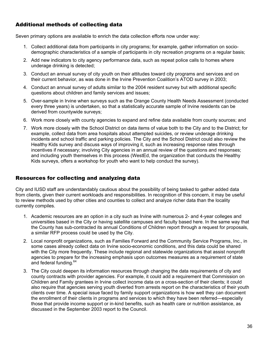### Additional methods of collecting data

Seven primary options are available to enrich the data collection efforts now under way:

- 1. Collect additional data from participants in city programs; for example, gather information on sociodemographic characteristics of a sample of participants in city recreation programs on a regular basis;
- 2. Add new indicators to city agency performance data, such as repeat police calls to homes where underage drinking is detected;
- 3. Conduct an annual survey of city youth on their attitudes toward city programs and services and on their current behavior, as was done in the Irvine Prevention Coalition's ATOD survey in 2003;
- 4. Conduct an annual survey of adults similar to the 2004 resident survey but with additional specific questions about children and family services and issues;
- 5. Over-sample in Irvine when surveys such as the Orange County Health Needs Assessment (conducted every three years) is undertaken, so that a statistically accurate sample of Irvine residents can be derived from countywide surveys;
- 6. Work more closely with county agencies to expand and refine data available from county sources; and
- 7. Work more closely with the School District on data items of value both to the City and to the District; for example, collect data from area hospitals about attempted suicides, or review underage drinking incidents and school traffic and parking policies. The City and the School District could also review the Healthy Kids survey and discuss ways of improving it, such as increasing response rates through incentives if necessary; involving City agencies in an annual review of the questions and responses; and including youth themselves in this process (WestEd, the organization that conducts the Healthy Kids surveys, offers a workshop for youth who want to help conduct the survey).

### Resources for collecting and analyzing data

City and IUSD staff are understandably cautious about the possibility of being tasked to gather added data from clients, given their current workloads and responsibilities. In recognition of this concern, it may be useful to review methods used by other cities and counties to collect and analyze richer data than the locality currently compiles.

- 1. Academic resources are an option in a city such as Irvine with numerous 2- and 4-year colleges and universities based in the City or having satellite campuses and faculty based here. In the same way that the County has sub-contracted its annual Conditions of Children report through a request for proposals, a similar RFP process could be used by the City.
- 2. Local nonprofit organizations, such as Families Forward and the Community Service Programs, Inc., in some cases already collect data on Irvine socio-economic conditions, and this data could be shared with the City more frequently. These include regional and statewide organizations that assist nonprofit agencies to prepare for the increasing emphasis upon outcomes measures as a requirement of state and federal funding.<sup>64</sup>
- 3. The City could deepen its information resources through changing the data requirements of city and county contracts with provider agencies. For example, it could add a requirement that Commission on Children and Family grantees in Irvine collect income data on a cross-section of their clients; it could also require that agencies serving youth diverted from arrests report on the characteristics of their youth clients over time. A special issue faced by family support organizations is how well they can document the enrollment of their clients in programs and services to which they have been referred—especially those that provide income support or in-kind benefits, such as health care or nutrition assistance, as discussed in the September 2003 report to the Council.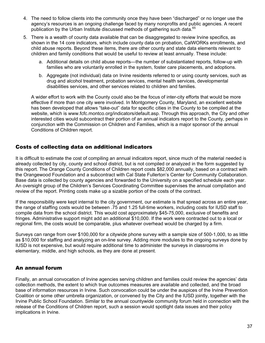- 4. The need to follow clients into the community once they have been "discharged" or no longer use the agency's resources is an ongoing challenge faced by many nonprofits and public agencies. A recent publication by the Urban Institute discussed methods of gathering such data.<sup>65</sup>
- 5. There is a wealth of county data available that can be disaggregated to review Irvine specifics, as shown in the 14 core indicators, which include county data on probation, CalWORKs enrollments, and child abuse reports. Beyond these items, there are other county and state data elements relevant to children and family conditions that would be useful to review at least annually. These include:
	- a. Additional details on child abuse reports—the number of substantiated reports, follow-up with families who are voluntarily enrolled in the system, foster care placements, and adoptions.
	- b. Aggregate (not individual) data on Irvine residents referred to or using county services, such as drug and alcohol treatment, probation services, mental health services, developmental disabilities services, and other services related to children and families.

A wider effort to work with the County could also be the focus of inter-city efforts that would be more effective if more than one city were involved. In Montgomery County, Maryland, an excellent website has been developed that allows "take-out" data for specific cities in the County to be compiled at the website, which is www.fcfc.montco.org/indicators/default.asp. Through this approach, the City and other interested cities would subcontract their portion of an annual indicators report to the County, perhaps in conjunction with the Commission on Children and Families, which is a major sponsor of the annual Conditions of Children report.

### Costs of collecting data on additional indicators

It is difficult to estimate the cost of compiling an annual indicators report, since much of the material needed is already collected by city, county and school district, but is not compiled or analyzed in the form suggested by this report. The Orange County Conditions of Children report costs \$82,000 annually, based on a contract with the Orangewood Foundation and a subcontract with Cal State Fullerton's Center for Community Collaboration. Base data is collected by county agencies and forwarded to the University on a specified schedule each year. An oversight group of the Children's Services Coordinating Committee supervises the annual compilation and review of the report. Printing costs make up a sizable portion of the costs of the contract.

If the responsibility were kept internal to the city government, our estimate is that spread across an entire year, the range of staffing costs would be between .75 and 1.25 full-time workers, including costs for IUSD staff to compile data from the school district. This would cost approximately \$45-75,000, exclusive of benefits and fringes. Administrative support might add an additional \$10,000. If the work were contracted out to a local or regional firm, the costs would be comparable, plus whatever overhead would be charged by a firm.

Surveys can range from over \$100,000 for a citywide phone survey with a sample size of 500-1,000, to as little as \$10,000 for staffing and analyzing an on-line survey. Adding more modules to the ongoing surveys done by IUSD is not expensive, but would require additional time to administer the surveys in classrooms in elementary, middle, and high schools, as they are done at present.

### An annual forum

Finally, an annual convocation of Irvine agencies serving children and families could review the agencies' data collection methods, the extent to which true outcomes measures are available and collected, and the broad base of information resources in Irvine. Such convocation could be under the auspices of the Irvine Prevention Coalition or some other umbrella organization, or convened by the City and the IUSD jointly, together with the Irvine Public School Foundation. Similar to the annual countywide community forum held in connection with the release of the Conditions of Children report, such a session would spotlight data issues and their policy implications in Irvine.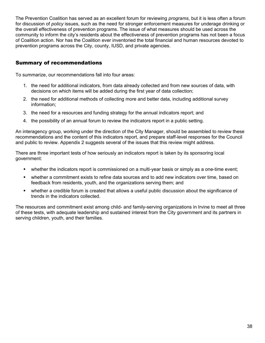The Prevention Coalition has served as an excellent forum for reviewing *programs*, but it is less often a forum for discussion of *policy* issues, such as the need for stronger enforcement measures for underage drinking or the overall effectiveness of prevention programs. The issue of what measures should be used across the community to inform the city's residents about the effectiveness of prevention programs has not been a focus of Coalition action. Nor has the Coalition ever inventoried the total financial and human resources devoted to prevention programs across the City, county, IUSD, and private agencies.

### Summary of recommendations

To summarize, our recommendations fall into four areas:

- 1. the need for additional indicators, from data already collected and from new sources of data, with decisions on which items will be added during the first year of data collection;
- 2. the need for additional methods of collecting more and better data, including additional survey information;
- 3. the need for a resources and funding strategy for the annual indicators report; and
- 4. the possibility of an annual forum to review the indicators report in a public setting.

An interagency group, working under the direction of the City Manager, should be assembled to review these recommendations and the content of this indicators report, and prepare staff-level responses for the Council and public to review. Appendix 2 suggests several of the issues that this review might address.

There are three important tests of how seriously an indicators report is taken by its sponsoring local government:

- whether the indicators report is commissioned on a multi-year basis or simply as a one-time event;
- whether a commitment exists to refine data sources and to add new indicators over time, based on feedback from residents, youth, and the organizations serving them; and
- whether a credible forum is created that allows a useful public discussion about the significance of trends in the indicators collected.

The resources and commitment exist among child- and family-serving organizations in Irvine to meet all three of these tests, with adequate leadership and sustained interest from the City government and its partners in serving children, youth, and their families.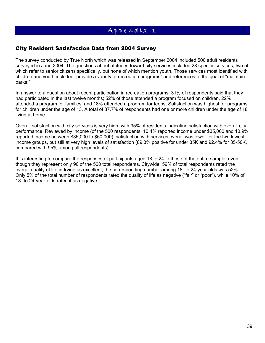# Appendix 1

### City Resident Satisfaction Data from 2004 Survey

The survey conducted by True North which was released in September 2004 included 500 adult residents surveyed in June 2004. The questions about attitudes toward city services included 28 specific services, two of which refer to senior citizens specifically, but none of which mention youth. Those services most identified with children and youth included "provide a variety of recreation programs" and references to the goal of "maintain parks."

In answer to a question about recent participation in recreation programs, 31% of respondents said that they had participated in the last twelve months; 52% of those attended a program focused on children, 22% attended a program for families, and 18% attended a program for teens. Satisfaction was highest for programs for children under the age of 13. A total of 37.7% of respondents had one or more children under the age of 18 living at home.

Overall satisfaction with city services is very high, with 95% of residents indicating satisfaction with overall city performance. Reviewed by income (of the 500 respondents, 10.4% reported income under \$35,000 and 10.9% reported income between \$35,000 to \$50,000), satisfaction with services overall was lower for the two lowest income groups, but still at very high levels of satisfaction (89.3% positive for under 35K and 92.4% for 35-50K, compared with 95% among all respondents).

It is interesting to compare the responses of participants aged 18 to 24 to those of the entire sample, even though they represent only 90 of the 500 total respondents. Citywide, 59% of total respondents rated the overall quality of life in Irvine as excellent; the corresponding number among 18- to 24-year-olds was 52%. Only 5% of the total number of respondents rated the quality of life as negative ("fair" or "poor"), while 10% of 18- to 24-year-olds rated it as negative.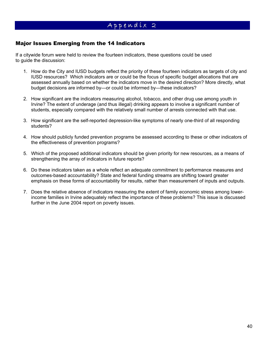# $Appendix$  2

### Major Issues Emerging from the 14 Indicators

If a citywide forum were held to review the fourteen indicators, these questions could be used to guide the discussion:

- 1. How do the City and IUSD budgets reflect the priority of these fourteen indicators as targets of city and IUSD resources? Which indicators are or could be the focus of specific budget allocations that are assessed annually based on whether the indicators move in the desired direction? More directly, what budget decisions are informed by—or could be informed by—these indicators?
- 2. How significant are the indicators measuring alcohol, tobacco, and other drug use among youth in Irvine? The extent of underage (and thus illegal) drinking appears to involve a significant number of students, especially compared with the relatively small number of arrests connected with that use.
- 3. How significant are the self-reported depression-like symptoms of nearly one-third of all responding students?
- 4. How should publicly funded prevention programs be assessed according to these or other indicators of the effectiveness of prevention programs?
- 5. Which of the proposed additional indicators should be given priority for new resources, as a means of strengthening the array of indicators in future reports?
- 6. Do these indicators taken as a whole reflect an adequate commitment to performance measures and outcomes-based accountability? State and federal funding streams are shifting toward greater emphasis on these forms of accountability for results, rather than measurement of inputs and outputs.
- 7. Does the relative absence of indicators measuring the extent of family economic stress among lowerincome families in Irvine adequately reflect the importance of these problems? This issue is discussed further in the June 2004 report on poverty issues.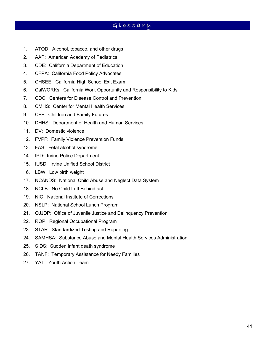# G l o s s a r y

- 1. ATOD: Alcohol, tobacco, and other drugs
- 2. AAP: American Academy of Pediatrics
- 3. CDE: California Department of Education
- 4. CFPA: California Food Policy Advocates
- 5. CHSEE: California High School Exit Exam
- 6. CalWORKs: California Work Opportunity and Responsibility to Kids
- 7. CDC: Centers for Disease Control and Prevention
- 8. CMHS: Center for Mental Health Services
- 9. CFF: Children and Family Futures
- 10. DHHS: Department of Health and Human Services
- 11. DV: Domestic violence
- 12. FVPF: Family Violence Prevention Funds
- 13. FAS: Fetal alcohol syndrome
- 14. IPD: Irvine Police Department
- 15. IUSD: Irvine Unified School District
- 16. LBW: Low birth weight
- 17. NCANDS: National Child Abuse and Neglect Data System
- 18. NCLB: No Child Left Behind act
- 19. NIC: National Institute of Corrections
- 20. NSLP: National School Lunch Program
- 21. OJJDP: Office of Juvenile Justice and Delinquency Prevention
- 22. ROP: Regional Occupational Program
- 23. STAR: Standardized Testing and Reporting
- 24. SAMHSA: Substance Abuse and Mental Health Services Administration
- 25. SIDS: Sudden infant death syndrome
- 26. TANF: Temporary Assistance for Needy Families
- 27. YAT: Youth Action Team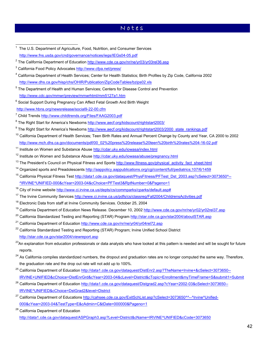### N o t e s

- <sup>25</sup> California Department of Education http://data1.cde.ca.gov/dataquest/DistEnr2.asp?TheName=Irvine+&cSelect=3073650--IRVINE+UNIFIED&cChoice=DistEnrGrd&cYear=2003-04&cLevel=District&cTopic=Enrollment&myTimeFrame=S&submit1=Submit
- <sup>26</sup> California Department of Education http://data1.cde.ca.gov/dataquest/Distgrad2.asp?cYear=2002-03&cSelect=3073650--IRVINE^UNIFIED&cChoice=DstGrad2&level=District
- <sup>27</sup> California Department of Educations http://cahsee.cde.ca.gov/ExitSchList.asp?cSelect=3073650^^--^Irvine^Unified-000&cYear=2003-04&TestType=E&cAdmin=C&tDate=000000&Pageno=1
- <sup>28</sup> California Department of Education http://data1.cde.ca.gov/dataquest/ASPGraph3.asp?Level=District&cName=IRVINE^UNIFIED&cCode=3073650

 $\overline{a}$ 1 The U.S. Department of Agriculture, Food, Nutrition, and Consumer Services http://www.fns.usda.gov/cnd/governance/notices/iegs/IEGs04-05.pdf <sup>2</sup> The California Department of Education http://www.cde.ca.gov/nr/ne/yr03/yr03rel36.asp <sup>3</sup> California Food Policy Advocates http://www.cfpa.net/press/ <sup>4</sup> California Department of Health Services; Center for Health Statistics; Birth Profiles by Zip Code, California 2002 http://www.dhs.ca.gov/hisp/chs/OHIR/Publication/ZipCodeTables/bzips02.xls <sup>5</sup> The Department of Health and Human Services; Centers for Disease Control and Prevention http://www.cdc.gov/mmwr/preview/mmwrhtml/mm5127a1.htm <sup>6</sup> Social Support During Pregnancy Can Affect Fetal Growth And Birth Weight http://www.hbns.org/newsrelease/social9-22-00.cfm <sup>7</sup> Child Trends http://www.childtrends.org/Files/FAAG2003.pdf <sup>8</sup> The Right Start for America's Newborns http://www.aecf.org/kidscount/rightstart2003/ <sup>9</sup> The Right Start for America's Newborns http://www.aecf.org/kidscount/rightstart2003/2000\_state\_rankings.pdf <sup>10</sup> California Department of Health Services; Teen Birth Rates and Annual Percent Change by County and Year, CA 2000 to 2002 http://www.mch.dhs.ca.gov/documents/pdf/00\_02%20press%20release%20teen%20birth%20rates%204-16-02.pdf <sup>11</sup> Institute on Women and Substance Abuse http://cdar.uky.edu/iowasa/index.html <sup>12</sup> Institute on Women and Substance Abuse http://cdar.uky.edu/iowasa/abuse/pregnancy.html <sup>13</sup> The President's Council on Physical Fitness and Sports http://www.fitness.gov/physical\_activity\_fact\_sheet.html <sup>14</sup> Organized sports and Preadolescents http://aappolicy.aappublications.org/cgi/content/full/pediatrics;107/6/1459 15 California Physical Fitness Test http://data1.cde.ca.gov/dataquest/PhysFitness/PFTest\_Dst\_2003.asp?cSelect=3073650^--^IRVINE^UNIFIED-000&cYear=2003-04&cChoice=PFTest3&RptNumber=0&Pageno=1 <sup>16</sup> City of Irvine website http://www.ci.irvine.ca.us/depts/cs/commparks/cparks/default.asp# <sup>17</sup> The Irvine Community Services http://www.ci.irvine.ca.us/pdfs/cs/classreg/Fall2004/ChildrensActivities.pdf  $18$  Electronic Data from staff at Irvine Community Services. October 25, 2004 <sup>19</sup> California Department of Education News Release. December 10, 2002 http://www.cde.ca.gov/nr/ne/yr02/yr02rel37.asp <sup>20</sup> California Standardized Testing and Reporting (STAR) Program http://star.cde.ca.gov/star2004/aboutSTAR.asp <sup>21</sup> California Department of Education http://www.cde.ca.gov/nr/ne/yr04/yr04rel72.asp  $22$  California Standardized Testing and Reporting (STAR) Program; Irvine Unified School District http://star.cde.ca.gov/star2004/viewreport.asp <sup>23</sup>An explanation from education professionals or data analysts who have looked at this pattern is needed and will be sought for future reports. <sup>24</sup> As California compiles standardized numbers, the dropout and graduation rates are no longer computed the same way. Therefore, the graduation rate and the drop out rate will not add up to 100%.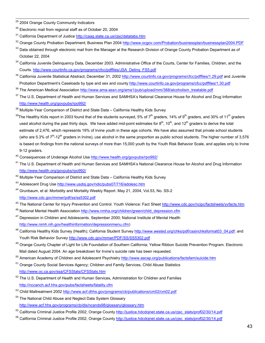- <sup>29</sup> 2004 Orange County Community Indicators
- $30$  Electronic mail from regional staff as of October 20, 2004
- <sup>31</sup> California Department of Justice http://caag.state.ca.us/cjsc/datatabs.htm
- <sup>32</sup> Orange County Probation Department; Business Plan 2004 http://www.ocgov.com/Probation/businessplan/businessplan2004.PDF
- <sup>33</sup> Data obtained through electronic mail from the Manager at the Research Division of Orange County Probation Department as of October 22, 2004
- <sup>34</sup> California Juvenile Delinquency Data, December 2003. Administrative Office of the Courts, Center for Families, Children, and the Courts. http://www.courtinfo.ca.gov/programs/cfcc/pdffiles/JSA\_Delinq\_FS5.pdf
- <sup>35</sup> California Juvenile Statistical Abstract; December 31, 2002 http://www.courtinfo.ca.gov/programs/cfcc/pdffiles/1.29.pdf and Juvenile Probation Department's Caseloads by type and sex and county http://www.courtinfo.ca.gov/programs/cfcc/pdffiles/1.30.pdf
- <sup>36</sup> The American Medical Association http://www.ama-assn.org/ama1/pub/upload/mm/388/alcoholism\_treatable.pdf
- <sup>37</sup> The U.S. Department of Health and Human Services and SAMHSA's National Clearance House for Alcohol and Drug Information http://www.health.org/govpubs/rpo992/
- <sup>38</sup> Multiple-Year Comparison of District and State Data California Healthy Kids Survey
- <sup>39</sup>The Healthy Kids report in 2003 found that of the students surveyed, 5% of 7<sup>th</sup> graders, 14% of 9<sup>th</sup> graders, and 30% of 11<sup>th</sup> graders used alcohol during the past thirty days. We have added mid-point estimates for  $8^{th}$ , 10<sup>th</sup>, and 12<sup>th</sup> graders to derive the total estimate of 2,476, which represents 19% of Irvine youth in these age cohorts. We have also assumed that private school students (who are 5.3% of  $7<sup>th</sup>$ -12<sup>th</sup> graders in Irvine), use alcohol in the same proportion as public school students. The higher number of 3,576 is based on findings from the national surveys of more than 15,000 youth by the Youth Risk Behavior Scale, and applies only to Irvine 9-12 graders.
- <sup>40</sup> Consequences of Underage Alcohol Use http://www.health.org/govpubs/rpo992/
- <sup>41</sup> The U.S. Department of Health and Human Services and SAMHSA's National Clearance House for Alcohol and Drug Information http://www.health.org/govpubs/rpo992/
- <sup>42</sup> Multiple-Year Comparison of District and State Data California Healthy Kids Survey
- 43 Adolescent Drug Use http://www.usdoj.gov/ndic/pubs07/716/adolesc.htm
- 44 Grunbaum, et al: Morbidity and Mortality Weekly Report. May 21, 2004, Vol.53, No. SS-2 http://www.cdc.gov/mmwr/pdf/ss/ss5302.pdf
- <sup>45</sup> The National Center for Injury Prevention and Control. Youth Violence: Fact Sheet http://www.cdc.gov/ncipc/factsheets/yvfacts.htm
- <sup>46</sup> National Mental Health Association http://www.nmha.org/children/green/child\_depression.cfm
- $47$  Depression in Children and Adolescents. September 2000; National Institute of Mental Health http://www.nimh.nih.gov/healthinformation/depressionmenu.cfm)
- <sup>48</sup> California Healthy Kids Survey (Health); California Student Survey http://www.wested.org/chks/pdf/cssinchksformat03\_04.pdf; and Youth Risk Behavior Survey http://www.cdc.gov/mmwr/PDF/SS/SS5302.pdf
- <sup>49</sup> Orange County Chapter of Light for Life Foundation of Southern California; Yellow Ribbon Suicide Prevention Program. Electronic Mail dated August 2004. An age breakdown for Irvine's suicide rate has been requested.
- <sup>50</sup> American Academy of Children and Adolescent Psychiatry http://www.aacap.org/publications/factsfam/suicide.htm
- <sup>51</sup> Orange County Social Services Agency; Children and Family Services, Child Abuse Statistics http://www.oc.ca.gov/ssa/CFSStats/CFSStats.htm
- 52 The U.S. Department of Health and Human Services, Administration for Children and Families http://nccanch.acf.hhs.gov/pubs/factsheets/fatality.cfm
- 53 Child Maltreatment 2002 http://www.acf.dhhs.gov/programs/cb/publications/cm02/cm02.pdf
- <sup>54</sup> The National Child Abuse and Neglect Data System Glossary http://www.acf.hhs.gov/programs/cb/dis/ncands98/glossary/glossary.htm
- <sup>55</sup> California Criminal Justice Profile 2002; Orange County http://justice.hdcdojnet.state.ca.us/cjsc\_stats/prof02/30/14.pdf
- 56 California Criminal Justice Profile 2002; Orange County http://justice.hdcdojnet.state.ca.us/cjsc\_stats/prof02/30/14.pdf